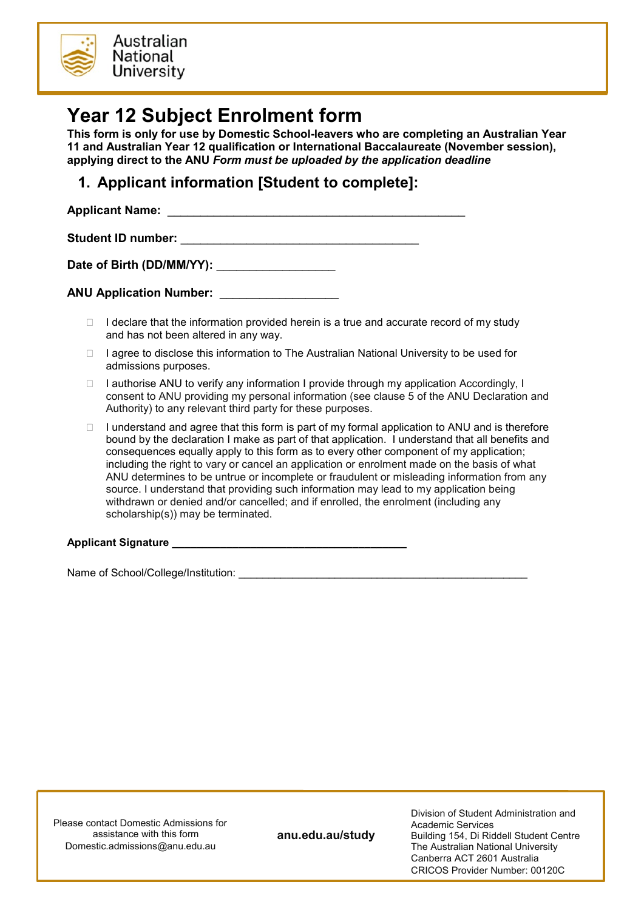

## **Year 12 Subject Enrolment form**

**This form is only for use by Domestic School-leavers who are completing an Australian Year 11 and Australian Year 12 qualification or International Baccalaureate (November session), applying direct to the ANU** *Form must be uploaded by the application deadline*

## **1. Applicant information [Student to complete]:**

**Applicant Name:** \_\_\_\_\_\_\_\_\_\_\_\_\_\_\_\_\_\_\_\_\_\_\_\_\_\_\_\_\_\_\_\_\_\_\_\_\_\_\_\_\_\_\_\_\_ **Student ID number:** \_\_\_\_\_\_\_\_\_\_\_\_\_\_\_\_\_\_\_\_\_\_\_\_\_\_\_\_\_\_\_\_\_\_\_\_

Date of Birth (DD/MM/YY):

**ANU Application Number:** \_\_\_\_\_\_\_\_\_\_\_\_\_\_\_\_\_\_

- $\Box$  I declare that the information provided herein is a true and accurate record of my study and has not been altered in any way.
- $\Box$  I agree to disclose this information to The Australian National University to be used for admissions purposes.
- $\Box$  I authorise ANU to verify any information I provide through my application Accordingly, I consent to ANU providing my personal information (see clause 5 of the ANU Declaration and Authority) to any relevant third party for these purposes.
- $\Box$  I understand and agree that this form is part of my formal application to ANU and is therefore bound by the declaration I make as part of that application. I understand that all benefits and consequences equally apply to this form as to every other component of my application; including the right to vary or cancel an application or enrolment made on the basis of what ANU determines to be untrue or incomplete or fraudulent or misleading information from any source. I understand that providing such information may lead to my application being withdrawn or denied and/or cancelled; and if enrolled, the enrolment (including any scholarship(s)) may be terminated.

## Applicant Signature **Algebra 2018**

Name of School/College/Institution: \_\_\_\_\_\_\_\_\_\_\_\_\_\_\_\_\_\_\_\_\_\_\_\_\_\_\_\_\_\_\_\_\_\_\_\_\_\_\_\_\_\_\_\_\_\_\_\_

Please contact Domestic Admissions for assistance with this form Domestic.admissions@anu.edu.au

**anu.edu.au/study**

Division of Student Administration and Academic Services Building 154, Di Riddell Student Centre The Australian National University Canberra ACT 2601 Australia CRICOS Provider Number: 00120C

Domestic.admissions@anu.edu.au